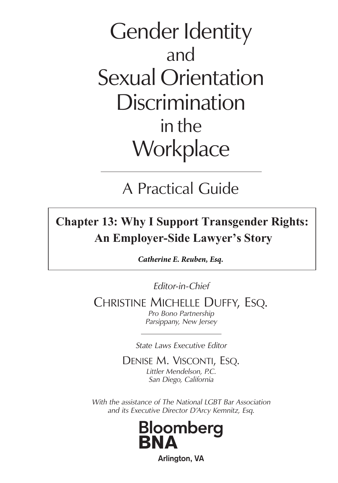Gender Identity and Sexual Orientation **Discrimination** in the **Workplace** 

# A Practical Guide

## **Chapter 13: Why I Support Transgender Rights: An Employer-Side Lawyer's Story**

*Catherine E. Reuben, Esq.* 

Editor-in-Chief

Christine Michelle Duffy, Esq.

Pro Bono Partnership Parsippany, New Jersey

State Laws Executive Editor

DENISE M. VISCONTI, ESQ. Littler Mendelson, P.C. San Diego, California

With the assistance of The National LGBT Bar Association and its Executive Director D'Arcy Kemnitz, Esq.



**Arlington, VA**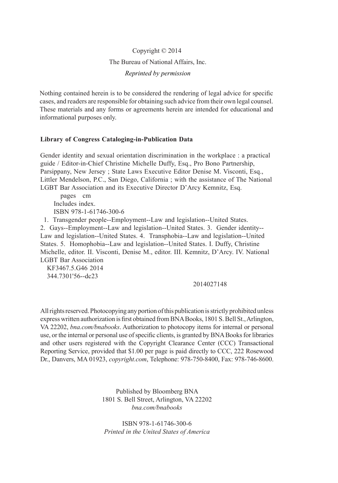## Copyright © 2014 The Bureau of National Affairs, Inc. *Reprinted by permission*

Nothing contained herein is to be considered the rendering of legal advice for specific cases, and readers are responsible for obtaining such advice from their own legal counsel. These materials and any forms or agreements herein are intended for educational and informational purposes only.

#### **Library of Congress Cataloging-in-Publication Data**

Gender identity and sexual orientation discrimination in the workplace : a practical guide / Editor-in-Chief Christine Michelle Duffy, Esq., Pro Bono Partnership, Parsippany, New Jersey ; State Laws Executive Editor Denise M. Visconti, Esq., Littler Mendelson, P.C., San Diego, California ; with the assistance of The National LGBT Bar Association and its Executive Director D'Arcy Kemnitz, Esq.

pages cm Includes index. ISBN 978-1-61746-300-6

1. Transgender people--Employment--Law and legislation--United States.

2. Gays--Employment--Law and legislation--United States. 3. Gender identity-- Law and legislation--United States. 4. Transphobia--Law and legislation--United States. 5. Homophobia--Law and legislation--United States. I. Duffy, Christine Michelle, editor. II. Visconti, Denise M., editor. III. Kemnitz, D'Arcy. IV. National LGBT Bar Association

KF3467.5.G46 2014 344.7301'56--dc23

2014027148

All rights reserved. Photocopying any portion of this publication is strictly prohibited unless express written authorization is first obtained from BNA Books, 1801 S. Bell St., Arlington, VA 22202, *bna.com/bnabooks*. Authorization to photocopy items for internal or personal use, or the internal or personal use of specific clients, is granted by BNA Books for libraries and other users registered with the Copyright Clearance Center (CCC) Transactional Reporting Service, provided that \$1.00 per page is paid directly to CCC, 222 Rosewood Dr., Danvers, MA 01923, *copyright.com*, Telephone: 978-750-8400, Fax: 978-746-8600.

> Published by Bloomberg BNA 1801 S. Bell Street, Arlington, VA 22202 *bna.com/bnabooks*

ISBN 978-1-61746-300-6 *Printed in the United States of America*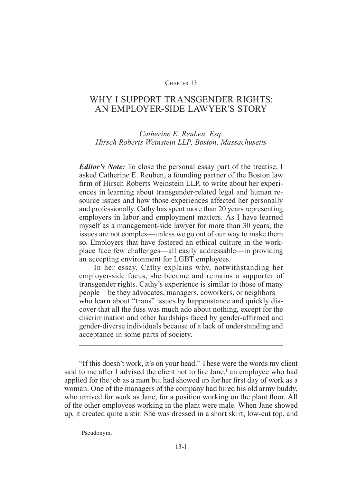#### CHAPTER 13

### WHY I SUPPORT TRANSGENDER RIGHTS: AN EMPLOYER-SIDE LAWYER'S STORY

#### *Catherine E. Reuben, Esq. Hirsch Roberts Weinstein LLP, Boston, Massachusetts*

*Editor's Note:* To close the personal essay part of the treatise, I asked Catherine E. Reuben, a founding partner of the Boston law firm of Hirsch Roberts Weinstein LLP, to write about her experiences in learning about transgender-related legal and human resource issues and how those experiences affected her personally and professionally. Cathy has spent more than 20 years representing employers in labor and employment matters. As I have learned myself as a management-side lawyer for more than 30 years, the issues are not complex—unless we go out of our way to make them so. Employers that have fostered an ethical culture in the workplace face few challenges—all easily addressable—in providing an accepting environment for LGBT employees.

In her essay, Cathy explains why, notwithstanding her employer-side focus, she became and remains a supporter of transgender rights. Cathy's experience is similar to those of many people—be they advocates, managers, coworkers, or neighbors who learn about "trans" issues by happenstance and quickly discover that all the fuss was much ado about nothing, except for the discrimination and other hardships faced by gender-affirmed and gender-diverse individuals because of a lack of understanding and acceptance in some parts of society.

"If this doesn't work, it's on your head." These were the words my client said to me after I advised the client not to fire Jane,<sup>1</sup> an employee who had applied for the job as a man but had showed up for her first day of work as a woman. One of the managers of the company had hired his old army buddy, who arrived for work as Jane, for a position working on the plant floor. All of the other employees working in the plant were male. When Jane showed up, it created quite a stir. She was dressed in a short skirt, low-cut top, and

<sup>1</sup>Pseudonym.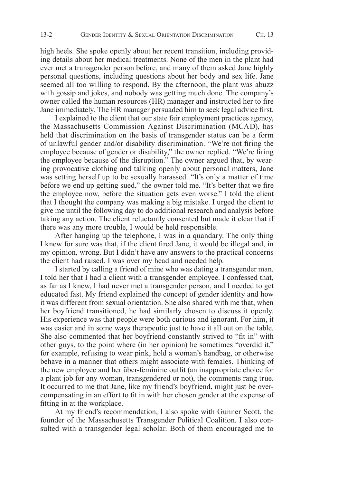high heels. She spoke openly about her recent transition, including providing details about her medical treatments. None of the men in the plant had ever met a transgender person before, and many of them asked Jane highly personal questions, including questions about her body and sex life. Jane seemed all too willing to respond. By the afternoon, the plant was abuzz with gossip and jokes, and nobody was getting much done. The company's owner called the human resources (HR) manager and instructed her to fire Jane immediately. The HR manager persuaded him to seek legal advice first.

I explained to the client that our state fair employment practices agency, the Massachusetts Commission Against Discrimination (MCAD), has held that discrimination on the basis of transgender status can be a form of unlawful gender and/or disability discrimination. "We're not firing the employee because of gender or disability," the owner replied. "We're firing the employee because of the disruption." The owner argued that, by wearing provocative clothing and talking openly about personal matters, Jane was setting herself up to be sexually harassed. "It's only a matter of time before we end up getting sued," the owner told me. "It's better that we fire the employee now, before the situation gets even worse." I told the client that I thought the company was making a big mistake. I urged the client to give me until the following day to do additional research and analysis before taking any action. The client reluctantly consented but made it clear that if there was any more trouble, I would be held responsible.

After hanging up the telephone, I was in a quandary. The only thing I knew for sure was that, if the client fired Jane, it would be illegal and, in my opinion, wrong. But I didn't have any answers to the practical concerns the client had raised. I was over my head and needed help.

I started by calling a friend of mine who was dating a transgender man. I told her that I had a client with a transgender employee. I confessed that, as far as I knew, I had never met a transgender person, and I needed to get educated fast. My friend explained the concept of gender identity and how it was different from sexual orientation. She also shared with me that, when her boyfriend transitioned, he had similarly chosen to discuss it openly. His experience was that people were both curious and ignorant. For him, it was easier and in some ways therapeutic just to have it all out on the table. She also commented that her boyfriend constantly strived to "fit in" with other guys, to the point where (in her opinion) he sometimes "overdid it," for example, refusing to wear pink, hold a woman's handbag, or otherwise behave in a manner that others might associate with females. Thinking of the new employee and her über-feminine outfit (an inappropriate choice for a plant job for any woman, transgendered or not), the comments rang true. It occurred to me that Jane, like my friend's boyfriend, might just be overcompensating in an effort to fit in with her chosen gender at the expense of fitting in at the workplace.

At my friend's recommendation, I also spoke with Gunner Scott, the founder of the Massachusetts Transgender Political Coalition. I also consulted with a transgender legal scholar. Both of them encouraged me to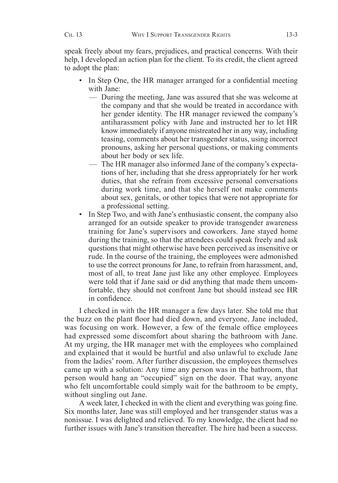speak freely about my fears, prejudices, and practical concerns. With their help, I developed an action plan for the client. To its credit, the client agreed to adopt the plan:

- In Step One, the HR manager arranged for a confidential meeting with Jane:
	- During the meeting, Jane was assured that she was welcome at the company and that she would be treated in accordance with her gender identity. The HR manager reviewed the company's antiharassment policy with Jane and instructed her to let HR know immediately if anyone mistreated her in any way, including teasing, comments about her transgender status, using incorrect pronouns, asking her personal questions, or making comments about her body or sex life.
	- The HR manager also informed Jane of the company's expectations of her, including that she dress appropriately for her work duties, that she refrain from excessive personal conversations during work time, and that she herself not make comments about sex, genitals, or other topics that were not appropriate for a professional setting.
- In Step Two, and with Jane's enthusiastic consent, the company also arranged for an outside speaker to provide transgender awareness training for Jane's supervisors and coworkers. Jane stayed home during the training, so that the attendees could speak freely and ask questions that might otherwise have been perceived as insensitive or rude. In the course of the training, the employees were admonished to use the correct pronouns for Jane, to refrain from harassment, and, most of all, to treat Jane just like any other employee. Employees were told that if Jane said or did anything that made them uncomfortable, they should not confront Jane but should instead see HR in confidence.

I checked in with the HR manager a few days later. She told me that the buzz on the plant floor had died down, and everyone, Jane included, was focusing on work. However, a few of the female office employees had expressed some discomfort about sharing the bathroom with Jane. At my urging, the HR manager met with the employees who complained and explained that it would be hurtful and also unlawful to exclude Jane from the ladies' room. After further discussion, the employees themselves came up with a solution: Any time any person was in the bathroom, that person would hang an "occupied" sign on the door. That way, anyone who felt uncomfortable could simply wait for the bathroom to be empty, without singling out Jane.

A week later, I checked in with the client and everything was going fine. Six months later, Jane was still employed and her transgender status was a nonissue. I was delighted and relieved. To my knowledge, the client had no further issues with Jane's transition thereafter. The hire had been a success.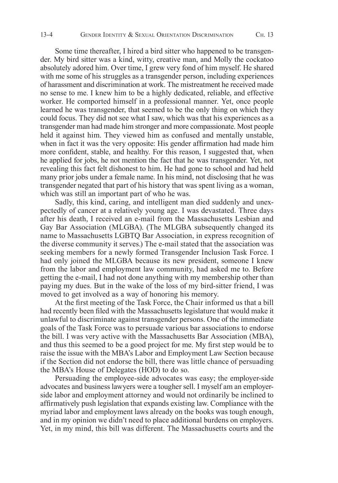Some time thereafter, I hired a bird sitter who happened to be transgender. My bird sitter was a kind, witty, creative man, and Molly the cockatoo absolutely adored him. Over time, I grew very fond of him myself. He shared with me some of his struggles as a transgender person, including experiences of harassment and discrimination at work. The mistreatment he received made no sense to me. I knew him to be a highly dedicated, reliable, and effective worker. He comported himself in a professional manner. Yet, once people learned he was transgender, that seemed to be the only thing on which they could focus. They did not see what I saw, which was that his experiences as a transgender man had made him stronger and more compassionate. Most people held it against him. They viewed him as confused and mentally unstable, when in fact it was the very opposite: His gender affirmation had made him more confident, stable, and healthy. For this reason, I suggested that, when he applied for jobs, he not mention the fact that he was transgender. Yet, not revealing this fact felt dishonest to him. He had gone to school and had held many prior jobs under a female name. In his mind, not disclosing that he was transgender negated that part of his history that was spent living as a woman, which was still an important part of who he was.

Sadly, this kind, caring, and intelligent man died suddenly and unexpectedly of cancer at a relatively young age. I was devastated. Three days after his death, I received an e-mail from the Massachusetts Lesbian and Gay Bar Association (MLGBA). (The MLGBA subsequently changed its name to Massachusetts LGBTQ Bar Association, in express recognition of the diverse community it serves.) The e-mail stated that the association was seeking members for a newly formed Transgender Inclusion Task Force. I had only joined the MLGBA because its new president, someone I knew from the labor and employment law community, had asked me to. Before getting the e-mail, I had not done anything with my membership other than paying my dues. But in the wake of the loss of my bird-sitter friend, I was moved to get involved as a way of honoring his memory.

At the first meeting of the Task Force, the Chair informed us that a bill had recently been filed with the Massachusetts legislature that would make it unlawful to discriminate against transgender persons. One of the immediate goals of the Task Force was to persuade various bar associations to endorse the bill. I was very active with the Massachusetts Bar Association (MBA), and thus this seemed to be a good project for me. My first step would be to raise the issue with the MBA's Labor and Employment Law Section because if the Section did not endorse the bill, there was little chance of persuading the MBA's House of Delegates (HOD) to do so.

Persuading the employee-side advocates was easy; the employer-side advocates and business lawyers were a tougher sell. I myself am an employerside labor and employment attorney and would not ordinarily be inclined to affirmatively push legislation that expands existing law. Compliance with the myriad labor and employment laws already on the books was tough enough, and in my opinion we didn't need to place additional burdens on employers. Yet, in my mind, this bill was different. The Massachusetts courts and the